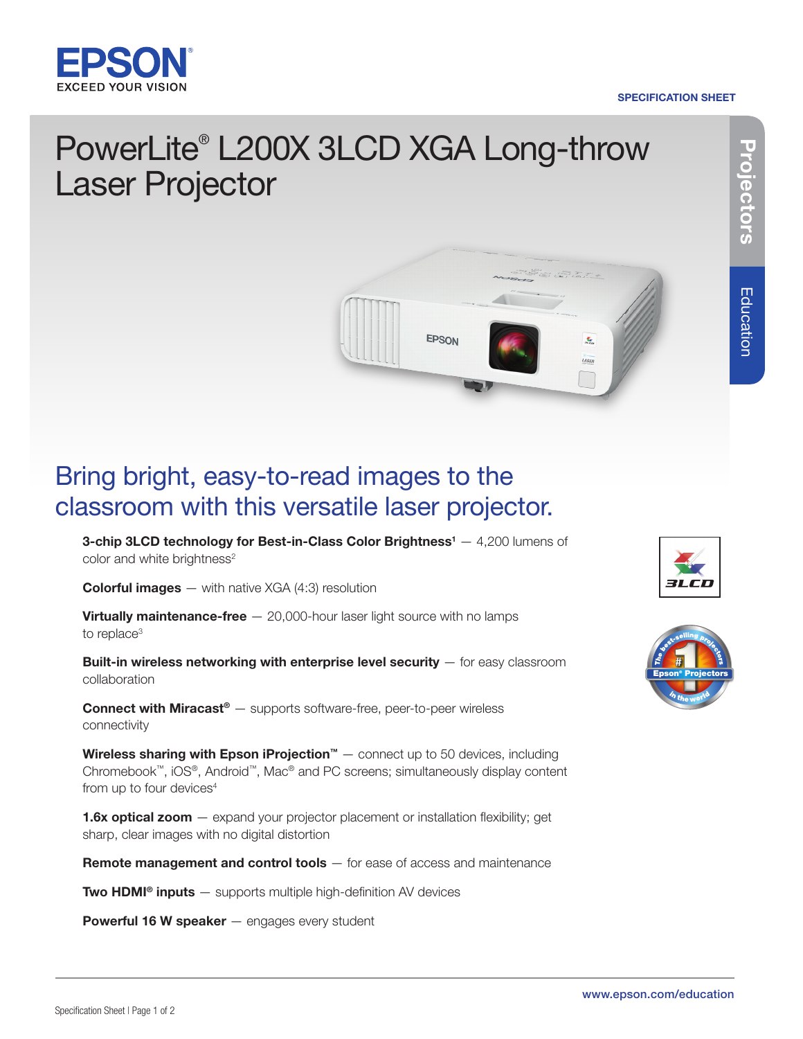

#### SPECIFICATION SHEET

# Projectors **Projectors**

## PowerLite® L200X 3LCD XGA Long-throw Laser Projector



### Bring bright, easy-to-read images to the classroom with this versatile laser projector.

**3-chip 3LCD technology for Best-in-Class Color Brightness**<sup>1</sup>  $-$  4,200 lumens of color and white brightness<sup>2</sup>

**Colorful images**  $-$  with native XGA (4:3) resolution

**Virtually maintenance-free**  $-$  20,000-hour laser light source with no lamps to replace<sup>3</sup>

Built-in wireless networking with enterprise level security - for easy classroom collaboration

**Connect with Miracast®** — supports software-free, peer-to-peer wireless connectivity

**Wireless sharing with Epson iProjection™**  $-$  connect up to 50 devices, including Chromebook™, iOS®, Android™, Mac® and PC screens; simultaneously display content from up to four devices<sup>4</sup>

**1.6x optical zoom**  $-$  expand your projector placement or installation flexibility; get sharp, clear images with no digital distortion

Remote management and control tools - for ease of access and maintenance

**Two HDMI<sup>®</sup> inputs**  $-$  supports multiple high-definition AV devices

Powerful 16 W speaker - engages every student